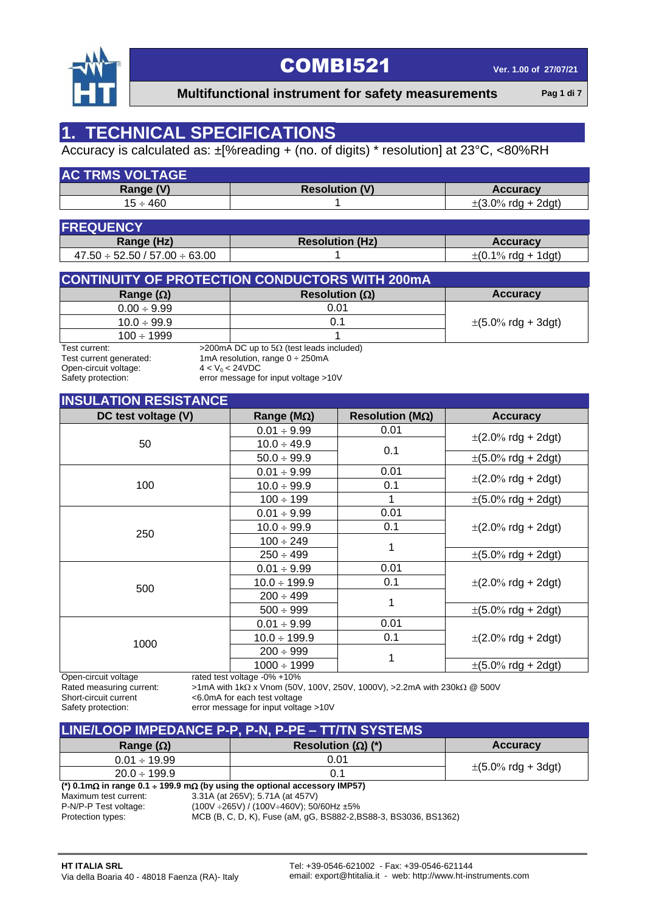

 **Multifunctional instrument for safety measurements Pag 1 di 7**

### **1. TECHNICAL SPECIFICATIONS**

### Accuracy is calculated as: ±[%reading + (no. of digits) \* resolution] at 23°C, <80%RH

| <b>AC TRMS VOLTAGE</b> |                       |                         |
|------------------------|-----------------------|-------------------------|
| Range (V)              | <b>Resolution (V)</b> | <b>Accuracy</b>         |
| $15 \div 460$          |                       | $\pm$ (3.0% rda + 2dat) |

| <b>FREQUENCY</b>                      |                        |                                          |  |  |  |  |  |  |
|---------------------------------------|------------------------|------------------------------------------|--|--|--|--|--|--|
| Range (Hz)                            | <b>Resolution (Hz)</b> | <b>Accuracy</b>                          |  |  |  |  |  |  |
| $47.50 \div 52.50 / 57.00 \div 63.00$ |                        | $\pm (0.1\% \text{ rdg} + 1 \text{dg}t)$ |  |  |  |  |  |  |

| <b>CONTINUITY OF PROTECTION CONDUCTORS WITH 200mA</b> |                         |                                           |
|-------------------------------------------------------|-------------------------|-------------------------------------------|
| Range $(\Omega)$                                      | Resolution ( $\Omega$ ) | <b>Accuracy</b>                           |
| $0.00 \div 9.99$                                      | 0.01                    |                                           |
| $10.0 \div 99.9$                                      | 0.1                     | $\pm (5.0\% \text{ rdg} + 3 \text{dg} t)$ |
| $100 \div 1999$                                       |                         |                                           |

Test current generated: 1mA resolution, range  $0 \div 250$ mA<br>Open-circuit voltage:  $4 < V_0 < 24$ VDC Open-circuit voltage:<br>Safety protection:

Test current:  $>200 \text{ mA}$  DC up to  $5\Omega$  (test leads included)

error message for input voltage >10V

#### **INSULATION PESISTANCE**

| $11000$ $\text{L}\text{A}$ $11011$ $\text{R}\text{B}$ $\text{C}\text{C}$ |                             |                          |                                          |
|--------------------------------------------------------------------------|-----------------------------|--------------------------|------------------------------------------|
| DC test voltage (V)                                                      | Range ( $M\Omega$ )         | Resolution ( $M\Omega$ ) | <b>Accuracy</b>                          |
|                                                                          | $0.01 \div 9.99$            | 0.01                     |                                          |
| 50                                                                       | $10.0 \div 49.9$            |                          | $\pm (2.0\% \text{ rdg} + 2 \text{dg}t)$ |
|                                                                          | $50.0 \div 99.9$            | 0.1                      | $\pm (5.0\% \text{ rdg} + 2\text{dg}t)$  |
|                                                                          | $0.01 \div 9.99$            | 0.01                     |                                          |
| 100                                                                      | $10.0 \div 99.9$            | 0.1                      | $\pm (2.0\% \text{ rdg} + 2 \text{dg}t)$ |
|                                                                          | $100 \div 199$              | 1                        | $\pm (5.0\% \text{ rdg} + 2 \text{dg}t)$ |
|                                                                          | $0.01 \div 9.99$            | 0.01                     |                                          |
| 250                                                                      | $10.0 \div 99.9$            | 0.1                      | $\pm (2.0\% \text{ rdg} + 2 \text{dg}t)$ |
|                                                                          | $100 \div 249$              | 1                        |                                          |
|                                                                          | $250 \div 499$              |                          | $\pm (5.0\% \text{ rdg} + 2 \text{dg}t)$ |
|                                                                          | $0.01 \div 9.99$            | 0.01                     |                                          |
| 500                                                                      | $10.0 \div 199.9$           | 0.1                      | $\pm (2.0\% \text{ rdg} + 2 \text{dg}t)$ |
|                                                                          | $200 \div 499$              |                          |                                          |
|                                                                          | $500 \div 999$              | 1                        | $\pm (5.0\% \text{ rdg} + 2 \text{dg}t)$ |
|                                                                          | $0.01 \div 9.99$            | 0.01                     |                                          |
|                                                                          | $10.0 \div 199.9$           | 0.1                      | $\pm (2.0\% \text{ rdg} + 2 \text{dg}t)$ |
| 1000                                                                     | $200 \div 999$              |                          |                                          |
|                                                                          | $1000 \div 1999$            | 1                        | $\pm (5.0\% \text{ rdg} + 2 \text{dg}t)$ |
| Open-circuit voltage                                                     | rated test voltage -0% +10% |                          |                                          |

Rated measuring current:  $>1 \text{ mA}$  with  $1 \text{k}\Omega$  x Vnom (50V, 100V, 250V, 1000V), >2.2mA with 230k $\Omega \otimes 500$ V

Short-circuit current <6.0mA for each test voltage

Safety protection: error message for input voltage >10V

| LINE/LOOP IMPEDANCE P-P, P-N, P-PE - TT/TN SYSTEMS |                           |                                           |  |  |  |  |  |
|----------------------------------------------------|---------------------------|-------------------------------------------|--|--|--|--|--|
| Range $(\Omega)$                                   | Resolution $(\Omega)$ (*) | <b>Accuracy</b>                           |  |  |  |  |  |
| $0.01 \div 19.99$                                  | 0.01                      |                                           |  |  |  |  |  |
| $20.0 \div 199.9$                                  | 0.1                       | $\pm (5.0\% \text{ rdg} + 3 \text{dg} t)$ |  |  |  |  |  |

#### $(*)$  0.1m $\Omega$  in range 0.1  $\div$  199.9 m $\Omega$  (by using the optional accessory IMP57)

Maximum test current: 3.31A (at 265V); 5.71A (at 457V)<br>P-N/P-P Test voltage: (100V ÷265V) / (100V÷460V); 50

 $(100V + 265V) / (100V + 460V)$ ; 50/60Hz ±5%

Protection types: MCB (B, C, D, K), Fuse (aM, gG, BS882-2,BS88-3, BS3036, BS1362)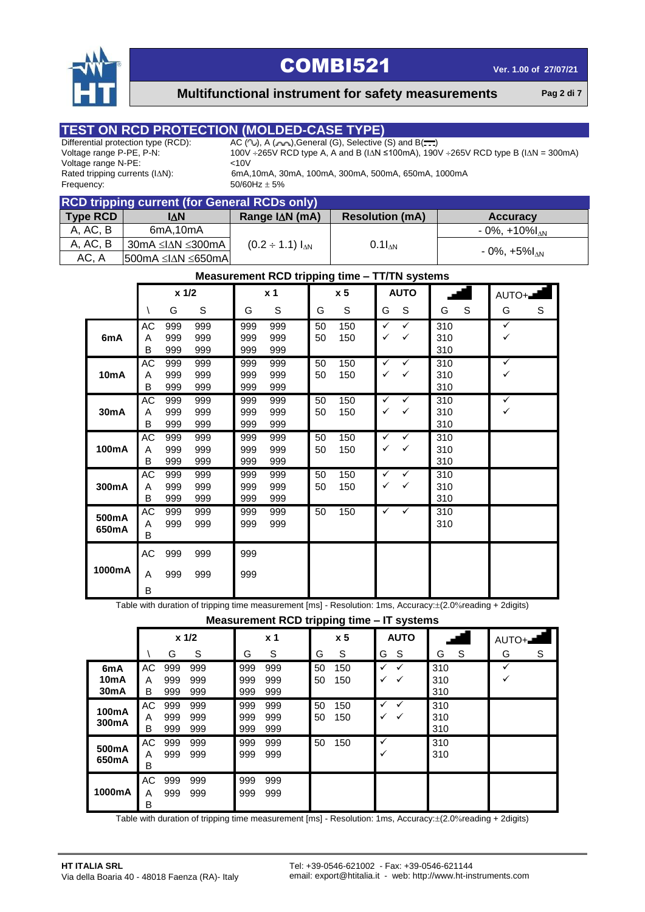

 **Multifunctional instrument for safety measurements Pag 2 di 7**

# **TEST ON RCD PROTECTION (MOLDED-CASE TYPE)**<br>Differential protection type (RCD): AC (W), A (W), General (G), Selective

Voltage range N-PE:  $\leq 10V$ <br>Rated tripping currents (I $\triangle$ N): 6mA, Frequency:  $50/60$ Hz  $\pm$  5%

Differential protection type (RCD):  $AC ( 1)$ , A ( $A ( 2)$ , General (G), Selective (S) and B( $\frac{1}{2}$ , Voltage range P-PE, P-N:  $100V \div 265V$  RCD type A, A and B ( $\Delta N \le 100$ mA), 190 100V  $\div 265V$  RCD type A, A and B (I∆N ≤100mA), 190V  $\div 265V$  RCD type B (I∆N = 300mA)

6mA,10mA, 30mA, 100mA, 300mA, 500mA, 650mA, 1000mA

| <b>RCD tripping current (for General RCDs only)</b> |                                                      |                         |                        |                                |  |  |  |  |  |
|-----------------------------------------------------|------------------------------------------------------|-------------------------|------------------------|--------------------------------|--|--|--|--|--|
| Type RCD                                            | I∧N                                                  | Range $I\Delta N$ (mA)  | <b>Resolution (mA)</b> | <b>Accuracy</b>                |  |  |  |  |  |
| A, AC, B                                            | 6mA, 10mA                                            |                         |                        | $-0\%$ , $+10\%$ <sub>AN</sub> |  |  |  |  |  |
| A, AC, B                                            | .30mA ≤I∆N ≤300mA l                                  | $(0.2 \div 1.1) I_{AN}$ | $0.1I_{AN}$            |                                |  |  |  |  |  |
| AC, A                                               | $ 500 \text{mA} \leq  \Delta N  \leq 650 \text{mA} $ |                         |                        | $-0\%$ , +5% $I_{\Lambda N}$   |  |  |  |  |  |

#### **Measurement RCD tripping time – TT/TN systems**

|                | $x$ 1/2            |                   |                   | x <sub>1</sub>    | x <sub>5</sub>    |          | <b>AUTO</b> |                   |                   |                   | AUTO+ |                   |   |
|----------------|--------------------|-------------------|-------------------|-------------------|-------------------|----------|-------------|-------------------|-------------------|-------------------|-------|-------------------|---|
|                |                    | G                 | S                 | G                 | S                 | G        | S           | G                 | S                 | G                 | S     | G                 | S |
| 6mA            | AC<br>A<br>B       | 999<br>999<br>999 | 999<br>999<br>999 | 999<br>999<br>999 | 999<br>999<br>999 | 50<br>50 | 150<br>150  | $\checkmark$<br>✓ | $\checkmark$<br>✓ | 310<br>310<br>310 |       | $\checkmark$<br>✓ |   |
| 10mA           | AC<br>Α<br>B       | 999<br>999<br>999 | 999<br>999<br>999 | 999<br>999<br>999 | 999<br>999<br>999 | 50<br>50 | 150<br>150  | ✓<br>✓            | ✓<br>✓            | 310<br>310<br>310 |       | ✓<br>✓            |   |
| 30mA           | AC<br>A<br>в       | 999<br>999<br>999 | 999<br>999<br>999 | 999<br>999<br>999 | 999<br>999<br>999 | 50<br>50 | 150<br>150  | ✓<br>✓            | ✓<br>✓            | 310<br>310<br>310 |       | ✓<br>✓            |   |
| 100mA          | AC<br>A<br>B       | 999<br>999<br>999 | 999<br>999<br>999 | 999<br>999<br>999 | 999<br>999<br>999 | 50<br>50 | 150<br>150  | ✓<br>✓            | ✓<br>✓            | 310<br>310<br>310 |       |                   |   |
| 300mA          | AC<br>A<br>В       | 999<br>999<br>999 | 999<br>999<br>999 | 999<br>999<br>999 | 999<br>999<br>999 | 50<br>50 | 150<br>150  | ✓<br>✓            | ✓<br>$\checkmark$ | 310<br>310<br>310 |       |                   |   |
| 500mA<br>650mA | AC<br>Α<br>B       | 999<br>999        | 999<br>999        | 999<br>999        | 999<br>999        | 50       | 150         | ✓                 | ✓                 | 310<br>310        |       |                   |   |
| 1000mA         | $\mathsf{AC}$<br>Α | 999<br>999        | 999<br>999        | 999<br>999        |                   |          |             |                   |                   |                   |       |                   |   |
|                | В                  |                   |                   |                   |                   |          |             |                   |                   |                   |       |                   |   |

Table with duration of tripping time measurement [ms] - Resolution: 1ms, Accuracy: $\pm$ (2.0%reading + 2digits)

**Measurement RCD tripping time – IT systems**

|                                                            |              |                   |                   |                   |                   | . .      | <u>_</u>       |        |             |                   |   |          |   |
|------------------------------------------------------------|--------------|-------------------|-------------------|-------------------|-------------------|----------|----------------|--------|-------------|-------------------|---|----------|---|
|                                                            |              |                   | $x$ 1/2           |                   | x <sub>1</sub>    |          | x <sub>5</sub> |        | <b>AUTO</b> |                   |   | $AUTO +$ |   |
|                                                            |              | G                 | S                 | G                 | S                 | G        | S              | G      | S           | G                 | S | G        | S |
| 6 <sub>m</sub> A<br>10 <sub>m</sub> A<br>30 <sub>m</sub> A | АC<br>A<br>B | 999<br>999<br>999 | 999<br>999<br>999 | 999<br>999<br>999 | 999<br>999<br>999 | 50<br>50 | 150<br>150     | ✓      | ✓<br>✓      | 310<br>310<br>310 |   |          |   |
| 100mA<br>300mA                                             | AC<br>A<br>B | 999<br>999<br>999 | 999<br>999<br>999 | 999<br>999<br>999 | 999<br>999<br>999 | 50<br>50 | 150<br>150     | ✓      | ✓<br>✓      | 310<br>310<br>310 |   |          |   |
| 500mA<br>650mA                                             | АC<br>A<br>B | 999<br>999        | 999<br>999        | 999<br>999        | 999<br>999        | 50       | 150            | ✓<br>✓ |             | 310<br>310        |   |          |   |
| 1000mA                                                     | AC<br>A<br>B | 999<br>999        | 999<br>999        | 999<br>999        | 999<br>999        |          |                |        |             |                   |   |          |   |

Table with duration of tripping time measurement [ms] - Resolution: 1ms, Accuracy: $\pm$ (2.0%reading + 2digits)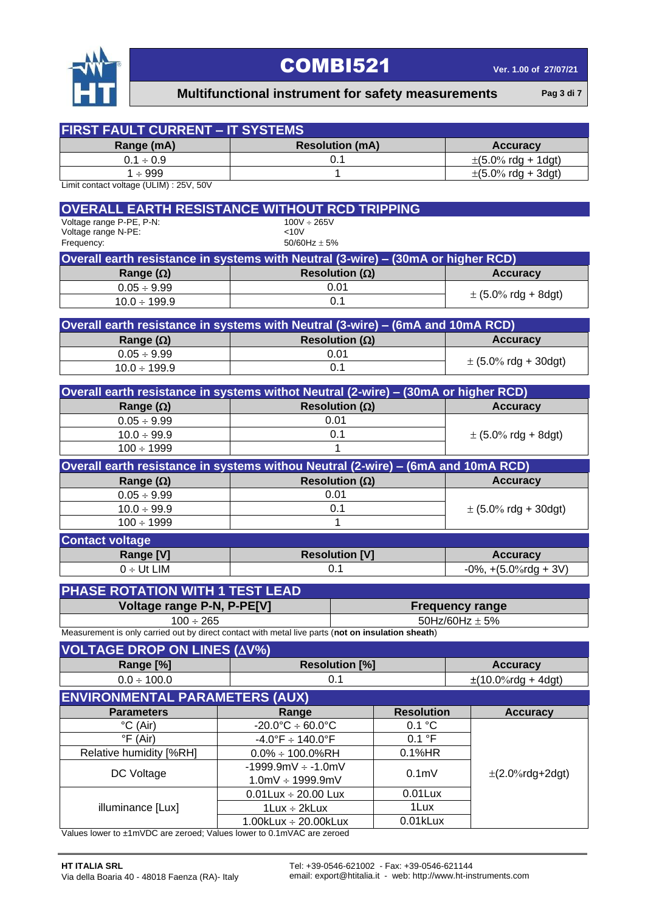

### **Multifunctional instrument for safety measurements Pag 3 di 7**

| <b>FIRST FAULT CURRENT - IT SYSTEMS</b>                                                            |                                     |                   |                                          |
|----------------------------------------------------------------------------------------------------|-------------------------------------|-------------------|------------------------------------------|
| Range (mA)                                                                                         | <b>Resolution (mA)</b>              |                   | <b>Accuracy</b>                          |
| $0.1 \div 0.9$                                                                                     | 0.1                                 |                   | $\pm (5.0\% \text{ rdg} + 1 \text{dg}t)$ |
| 1 ÷ 999                                                                                            | 1                                   |                   | $\pm (5.0\% \text{ rdg} + 3 \text{dg}t)$ |
| Limit contact voltage (ULIM) : 25V, 50V                                                            |                                     |                   |                                          |
| <b>OVERALL EARTH RESISTANCE WITHOUT RCD TRIPPING</b>                                               |                                     |                   |                                          |
| Voltage range P-PE, P-N:                                                                           | $100V \div 265V$                    |                   |                                          |
| Voltage range N-PE:<br>Frequency:                                                                  | <10V<br>50/60Hz $\pm$ 5%            |                   |                                          |
| Overall earth resistance in systems with Neutral (3-wire) - (30mA or higher RCD)                   |                                     |                   |                                          |
|                                                                                                    |                                     |                   | <b>Accuracy</b>                          |
| Range $(\Omega)$<br>$0.05 \div 9.99$                                                               | Resolution ( $\Omega$ )<br>0.01     |                   |                                          |
| $10.0 \div 199.9$                                                                                  | 0.1                                 |                   | $\pm$ (5.0% rdg + 8dgt)                  |
|                                                                                                    |                                     |                   |                                          |
| Overall earth resistance in systems with Neutral (3-wire) - (6mA and 10mA RCD)                     |                                     |                   |                                          |
| Range $(\Omega)$                                                                                   | Resolution ( $\Omega$ )             |                   | <b>Accuracy</b>                          |
| $0.05 \div 9.99$                                                                                   | 0.01                                |                   |                                          |
| $10.0 \div 199.9$                                                                                  | 0.1                                 |                   | $\pm$ (5.0% rdg + 30dgt)                 |
|                                                                                                    |                                     |                   |                                          |
| Overall earth resistance in systems withot Neutral (2-wire) - (30mA or higher RCD)                 |                                     |                   |                                          |
| Range $(\Omega)$                                                                                   | Resolution ( $\Omega$ )<br>0.01     |                   | <b>Accuracy</b>                          |
| $0.05 \div 9.99$<br>$10.0 \div 99.9$                                                               | 0.1                                 |                   | $\pm$ (5.0% rdg + 8dgt)                  |
| $100 \div 1999$                                                                                    | 1                                   |                   |                                          |
|                                                                                                    |                                     |                   |                                          |
| Overall earth resistance in systems withou Neutral (2-wire) - (6mA and 10mA RCD)                   |                                     |                   |                                          |
| Range $(\Omega)$                                                                                   | Resolution ( $\Omega$ )             |                   | <b>Accuracy</b>                          |
| $0.05 \div 9.99$                                                                                   | 0.01                                |                   |                                          |
| $10.0 \div 99.9$                                                                                   | 0.1<br>1                            |                   | $\pm$ (5.0% rdg + 30dgt)                 |
| $100 \div 1999$                                                                                    |                                     |                   |                                          |
| <b>Contact voltage</b>                                                                             |                                     |                   |                                          |
| Range [V]                                                                                          | <b>Resolution [V]</b>               |                   | <b>Accuracy</b>                          |
| $0 \div Ut$ LIM                                                                                    | 0.1                                 |                   | $-0\%$ , $+(5.0\%$ rdg + 3V)             |
| PHASE ROTATION WITH 1 TEST LEAD                                                                    |                                     |                   |                                          |
| Voltage range P-N, P-PE[V]                                                                         |                                     |                   | <b>Frequency range</b>                   |
| $100 \div 265$                                                                                     |                                     |                   | 50Hz/60Hz $\pm$ 5%                       |
| Measurement is only carried out by direct contact with metal live parts (not on insulation sheath) |                                     |                   |                                          |
| <b>VOLTAGE DROP ON LINES (AV%)</b>                                                                 |                                     |                   |                                          |
| Range [%]                                                                                          | <b>Resolution [%]</b>               |                   | <b>Accuracy</b>                          |
| $0.0 \div 100.0$                                                                                   | 0.1                                 |                   | $\pm$ (10.0%rdg + 4dgt)                  |
| <b>ENVIRONMENTAL PARAMETERS (AUX)</b>                                                              |                                     |                   |                                          |
| <b>Parameters</b>                                                                                  | Range                               | <b>Resolution</b> | <b>Accuracy</b>                          |
| °C (Air)                                                                                           | $-20.0^{\circ}C \div 60.0^{\circ}C$ | 0.1 °C            |                                          |
| °F (Air)                                                                                           | $-4.0^{\circ}F \div 140.0^{\circ}F$ | 0.1 °F            |                                          |
| Relative humidity [%RH]                                                                            | $0.0\% \div 100.0\%$ RH             | 0.1%HR            |                                          |
| DC Voltage                                                                                         | $-1999.9mV \div -1.0mV$             |                   | $\pm$ (2.0%rdg+2dgt)                     |
|                                                                                                    | $1.0mV \div 1999.9mV$               | 0.1 <sub>m</sub>  |                                          |
|                                                                                                    | $0.01$ Lux ÷ 20.00 Lux              | $0.01$ Lux        |                                          |
| illuminance [Lux]                                                                                  | $1$ Lux $\div$ 2kLux                | 1Lux              |                                          |
| Values lower to ±1mVDC are zeroed; Values lower to 0.1mVAC are zeroed                              | $1.00$ kLux ÷ 20.00kLux             | 0.01kLux          |                                          |
|                                                                                                    |                                     |                   |                                          |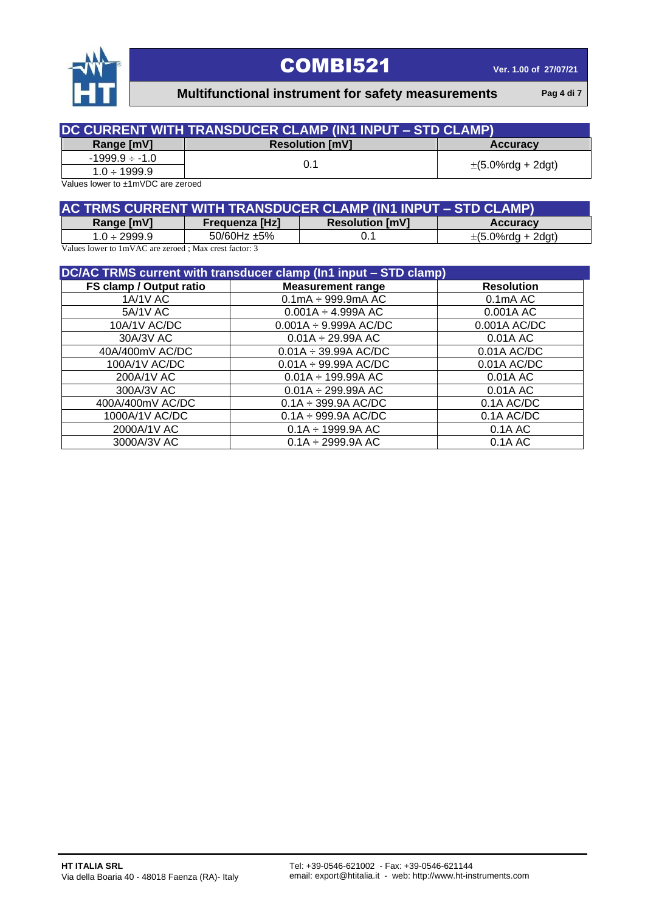

 **Multifunctional instrument for safety measurements Pag 4 di 7**

| DC CURRENT WITH TRANSDUCER CLAMP (IN1 INPUT – STD CLAMP) |                        |                          |  |  |  |  |
|----------------------------------------------------------|------------------------|--------------------------|--|--|--|--|
| Range [mV]                                               | <b>Resolution [mV]</b> | <b>Accuracy</b>          |  |  |  |  |
| $-1999.9 \div -1.0$                                      |                        |                          |  |  |  |  |
| $1.0 \div 1999.9$                                        | 0.1                    | $\pm (5.0\%$ rdg + 2dgt) |  |  |  |  |

Values lower to ±1mVDC are zeroed

| AC TRMS CURRENT WITH TRANSDUCER CLAMP (IN1 INPUT - STD CLAMP) |                       |                        |                          |  |  |  |  |
|---------------------------------------------------------------|-----------------------|------------------------|--------------------------|--|--|--|--|
| Range [mV]                                                    | <b>Frequenza [Hz]</b> | <b>Resolution [mV]</b> | <b>Accuracy</b>          |  |  |  |  |
| $1.0 \div 2999.9$                                             | $50/60$ Hz $\pm 5\%$  |                        | $\pm (5.0\%$ rdg + 2dgt) |  |  |  |  |

Values lower to 1mVAC are zeroed ; Max crest factor: 3

| DC/AC TRMS current with transducer clamp (In1 input - STD clamp) |                            |                       |  |  |  |  |
|------------------------------------------------------------------|----------------------------|-----------------------|--|--|--|--|
| FS clamp / Output ratio                                          | <b>Measurement range</b>   | <b>Resolution</b>     |  |  |  |  |
| <b>1A/1V AC</b>                                                  | $0.1$ mA $\div$ 999.9mA AC | 0.1 <sub>m</sub> A AC |  |  |  |  |
| 5A/1V AC                                                         | $0.001A \div 4.999A AC$    | 0.001A AC             |  |  |  |  |
| 10A/1V AC/DC                                                     | $0.001A \div 9.999A AC/DC$ | 0.001A AC/DC          |  |  |  |  |
| 30A/3V AC                                                        | $0.01A \div 29.99A AC$     | 0.01A AC              |  |  |  |  |
| 40A/400mV AC/DC                                                  | $0.01A \div 39.99A$ AC/DC  | $0.01A$ AC/DC         |  |  |  |  |
| 100A/1V AC/DC                                                    | $0.01A \div 99.99A AC/DC$  | 0.01A AC/DC           |  |  |  |  |
| 200A/1V AC                                                       | $0.01A \div 199.99A AC$    | 0.01A AC              |  |  |  |  |
| 300A/3V AC                                                       | $0.01A \div 299.99A AC$    | 0.01A AC              |  |  |  |  |
| 400A/400mV AC/DC                                                 | $0.1A \div 399.9A$ AC/DC   | 0.1A AC/DC            |  |  |  |  |
| 1000A/1V AC/DC                                                   | $0.1A \div 999.9A AC/DC$   | 0.1A AC/DC            |  |  |  |  |
| 2000A/1V AC                                                      | $0.1A \div 1999.9A AC$     | 0.1A AC               |  |  |  |  |
| 3000A/3V AC                                                      | $0.1A \div 2999.9A AC$     | 0.1A AC               |  |  |  |  |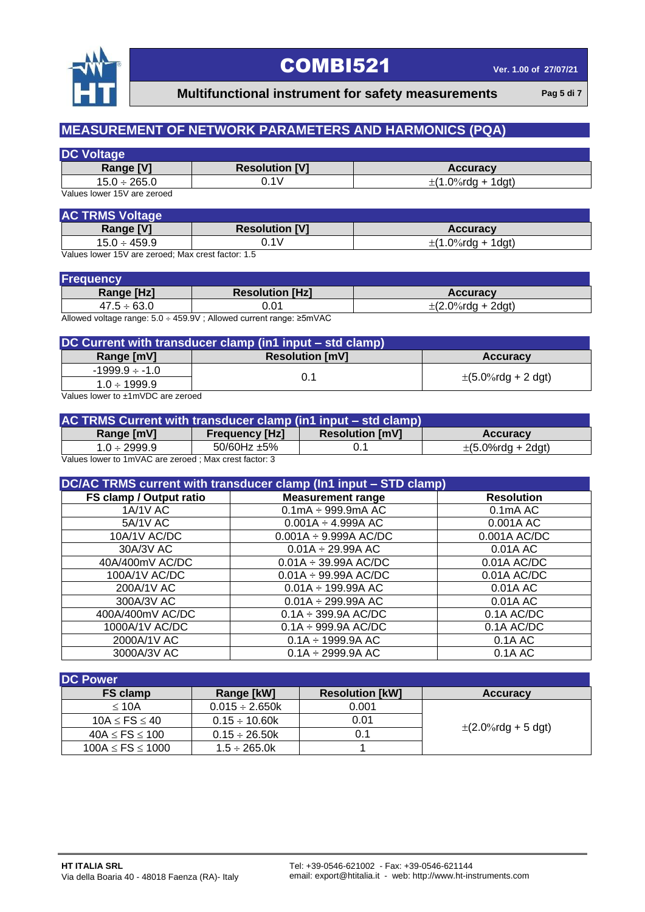

 **Multifunctional instrument for safety measurements** Pag 5 di 7

### **MEASUREMENT OF NETWORK PARAMETERS AND HARMONICS (PQA)**

| <b>Resolution [V]</b> | <b>Accuracy</b>        |
|-----------------------|------------------------|
| J.1V                  | $\pm$ (1.0%rdg + 1dgt) |
|                       |                        |

Values lower 15V are zeroed

| <b>Resolution [V]</b> | <b>Accuracy</b>        |
|-----------------------|------------------------|
| $4\lambda$            | $\pm$ (1.0%rdg + 1dgt) |
|                       | $-$                    |

Values lower 15V are zeroed; Max crest factor: 1.5

| Frequency        |                        |                        |
|------------------|------------------------|------------------------|
| Range [Hz]       | <b>Resolution [Hz]</b> | <b>Accuracy</b>        |
| $47.5 \div 63.0$ | ა.01                   | $\pm$ (2.0%rdg + 2dgt) |

Allowed voltage range: 5.0 459.9V ; Allowed current range: ≥5mVAC

| DC Current with transducer clamp (in1 input – std clamp)                                    |                        |                           |  |
|---------------------------------------------------------------------------------------------|------------------------|---------------------------|--|
| Range [mV]                                                                                  | <b>Resolution [mV]</b> | <b>Accuracy</b>           |  |
| $-1999.9 \div -1.0$                                                                         |                        |                           |  |
| $1.0 \div 1999.9$                                                                           |                        | $\pm (5.0\%$ rdg + 2 dgt) |  |
| $M_{\rm H}$ and $M_{\rm H}$ are $M_{\rm H}$ and $M_{\rm H}$ and $M_{\rm H}$ are $M_{\rm H}$ |                        |                           |  |

Values lower to ±1mVDC are zeroed

| AC TRMS Current with transducer clamp (in1 input – std clamp)        |                       |                        |                          |
|----------------------------------------------------------------------|-----------------------|------------------------|--------------------------|
| Range [mV]                                                           | <b>Frequency [Hz]</b> | <b>Resolution [mV]</b> | <b>Accuracy</b>          |
| $1.0 \div 2999.9$                                                    | 50/60Hz $\pm$ 5%      |                        | $\pm (5.0\%$ rdg + 2dgt) |
| Values lower to $1m\sqrt{AC}$ are zeroed $\cdot$ May crest factor: 3 |                       |                        |                          |

Values lower to 1mVAC are zeroed ; Max crest factor: 3

| DC/AC TRMS current with transducer clamp (In1 input - STD clamp) |                                    |                       |  |  |
|------------------------------------------------------------------|------------------------------------|-----------------------|--|--|
| FS clamp / Output ratio                                          | <b>Measurement range</b>           | <b>Resolution</b>     |  |  |
| <b>1A/1V AC</b>                                                  | $0.1$ mA $\div$ 999.9mA AC         | 0.1 <sub>m</sub> A AC |  |  |
| 5A/1V AC                                                         | $0.001A \div 4.999A \overline{AC}$ | 0.001A AC             |  |  |
| 10A/1V AC/DC                                                     | $0.001A \div 9.999A AC/DC$         | 0.001A AC/DC          |  |  |
| 30A/3V AC                                                        | $0.01A \div 29.99A AC$             | 0.01A AC              |  |  |
| 40A/400mV AC/DC                                                  | $0.01A \div 39.99A AC/DC$          | 0.01A AC/DC           |  |  |
| 100A/1V AC/DC                                                    | $0.01A \div 99.99A AC/DC$          | $0.01A$ AC/DC         |  |  |
| 200A/1V AC                                                       | $0.01A \div 199.99A AC$            | 0.01A AC              |  |  |
| 300A/3V AC                                                       | $0.01A \div 299.99A AC$            | 0.01A AC              |  |  |
| 400A/400mV AC/DC                                                 | $0.1A \div 399.9A$ AC/DC           | 0.1A AC/DC            |  |  |
| 1000A/1V AC/DC                                                   | $0.1A \div 999.9A$ AC/DC           | 0.1A AC/DC            |  |  |
| 2000A/1V AC                                                      | $0.1A \div 1999.9A AC$             | 0.1A AC               |  |  |
| 3000A/3V AC                                                      | $0.1A \div 2999.9A AC$             | 0.1A AC               |  |  |

| <b>DC Power</b>        |                     |                        |                         |
|------------------------|---------------------|------------------------|-------------------------|
| <b>FS clamp</b>        | Range [kW]          | <b>Resolution [kW]</b> | <b>Accuracy</b>         |
| $\leq 10A$             | $0.015 \div 2.650k$ | 0.001                  |                         |
| 10A $\le$ FS $\le$ 40  | $0.15 \div 10.60k$  | 0.01                   |                         |
| $40A \le FS \le 100$   | $0.15 \div 26.50k$  | 0.1                    | $\pm$ (2.0%rdg + 5 dgt) |
| $100A \le FS \le 1000$ | $1.5 \div 265.0k$   |                        |                         |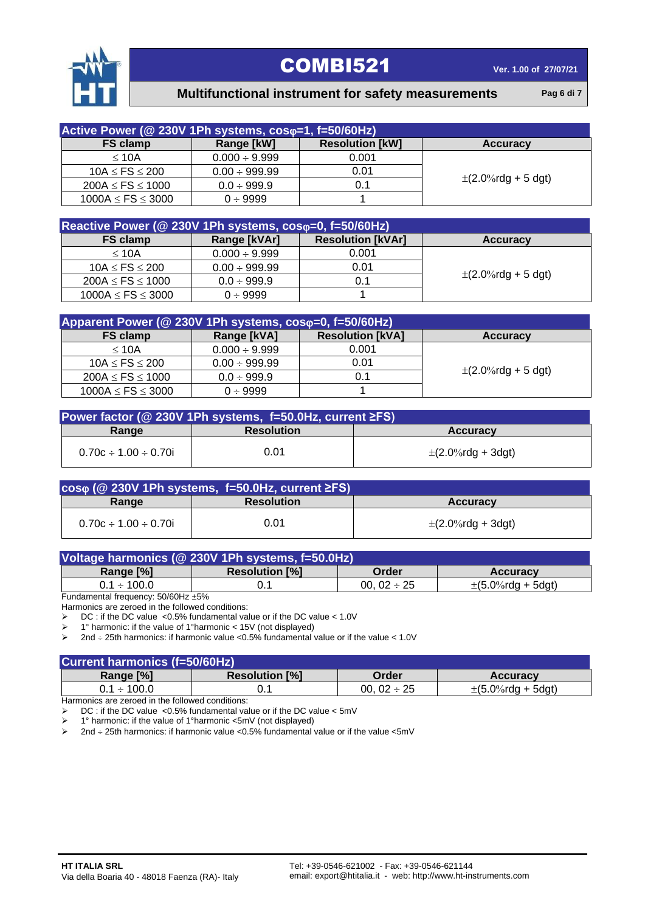

### **Multifunctional instrument for safety measurements Pag 6 di 7**

| Active Power (@ 230V 1Ph systems, coso=1, f=50/60Hz) |                    |                        |                         |
|------------------------------------------------------|--------------------|------------------------|-------------------------|
| <b>FS clamp</b>                                      | Range [kW]         | <b>Resolution [kW]</b> | <b>Accuracy</b>         |
| $\leq 10A$                                           | $0.000 \div 9.999$ | 0.001                  |                         |
| $10A \le FS \le 200$                                 | $0.00 \div 999.99$ | 0.01                   |                         |
| $200A \le FS \le 1000$                               | $0.0 \div 999.9$   | 0.1                    | $\pm$ (2.0%rdg + 5 dgt) |
| $1000A \le FS \le 3000$                              | $0 \div 9999$      |                        |                         |

| Reactive Power (@ 230V 1Ph systems, coso=0, f=50/60Hz) |                    |                          |                         |
|--------------------------------------------------------|--------------------|--------------------------|-------------------------|
| FS clamp                                               | Range [kVAr]       | <b>Resolution [kVAr]</b> | <b>Accuracy</b>         |
| $\leq 10A$                                             | $0.000 \div 9.999$ | 0.001                    |                         |
| $10A \le FS \le 200$                                   | $0.00 \div 999.99$ | 0.01                     |                         |
| $200A \le FS \le 1000$                                 | $0.0 \div 999.9$   | 0.1                      | $\pm$ (2.0%rdg + 5 dgt) |
| $1000A \le FS \le 3000$                                | $0 \div 9999$      |                          |                         |

| Apparent Power (@ 230V 1Ph systems, coso=0, f=50/60Hz) |                    |                         |                         |
|--------------------------------------------------------|--------------------|-------------------------|-------------------------|
| <b>FS clamp</b>                                        | Range [kVA]        | <b>Resolution [kVA]</b> | <b>Accuracy</b>         |
| $\leq 10A$                                             | $0.000 \div 9.999$ | 0.001                   |                         |
| 10A $\le$ FS $\le$ 200                                 | $0.00 \div 999.99$ | 0.01                    |                         |
| $200A \le FS \le 1000$                                 | $0.0 \div 999.9$   | 0.1                     | $\pm$ (2.0%rdg + 5 dgt) |
| $1000A \le FS \le 3000$                                | $0 \div 9999$      |                         |                         |

| Power factor ( $@$ 230V 1Ph systems, f=50.0Hz, current $\SigmaFS$ ) |                   |                        |  |
|---------------------------------------------------------------------|-------------------|------------------------|--|
| Range                                                               | <b>Resolution</b> | <b>Accuracy</b>        |  |
| $0.70c \div 1.00 \div 0.70i$                                        | 0.01              | $\pm$ (2.0%rdg + 3dgt) |  |

|                              | $cos\varphi$ (@ 230V 1Ph systems, f=50.0Hz, current $\geq$ FS) |                        |
|------------------------------|----------------------------------------------------------------|------------------------|
| Range                        | <b>Resolution</b>                                              | <b>Accuracy</b>        |
| $0.70c \div 1.00 \div 0.70i$ | 0.01                                                           | $\pm$ (2.0%rdg + 3dgt) |

| Voltage harmonics (@ 230V 1Ph systems, f=50.0Hz) |                       |                  |                        |  |
|--------------------------------------------------|-----------------------|------------------|------------------------|--|
| Range [%]                                        | <b>Resolution [%]</b> | Order            | <b>Accuracy</b>        |  |
| $0.1 \div 100.0$                                 |                       | 00. $02 \div 25$ | $\pm$ (5.0%rdg + 5dgt) |  |

Fundamental frequency: 50/60Hz ±5%

Harmonics are zeroed in the followed conditions:

 $\triangleright$  DC : if the DC value <0.5% fundamental value or if the DC value < 1.0V

1° harmonic: if the value of 1°harmonic < 15V (not displayed)

 $\geq$  2nd ÷ 25th harmonics: if harmonic value <0.5% fundamental value or if the value < 1.0V

| <b>Current harmonics (f=50/60Hz)</b> |                       |                  |                        |  |
|--------------------------------------|-----------------------|------------------|------------------------|--|
| Range [%]                            | <b>Resolution [%]</b> | Order            | <b>Accuracy</b>        |  |
| $0.1 \div 100.0$                     |                       | 00. $02 \div 25$ | $\pm$ (5.0%rdg + 5dgt) |  |

Harmonics are zeroed in the followed conditions:

DC : if the DC value <0.5% fundamental value or if the DC value < 5mV

1° harmonic: if the value of 1°harmonic <5mV (not displayed)

 $\geq$  2nd  $\div$  25th harmonics: if harmonic value <0.5% fundamental value or if the value <5mV